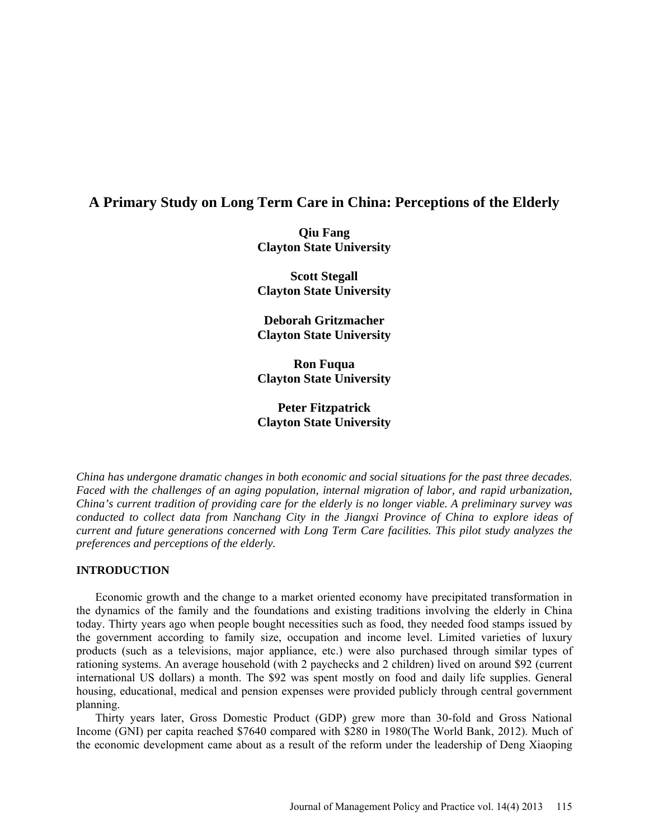# **A Primary Study on Long Term Care in China: Perceptions of the Elderly**

**Qiu Fang Clayton State University** 

**Scott Stegall Clayton State University** 

**Deborah Gritzmacher Clayton State University**

**Ron Fuqua Clayton State University** 

## **Peter Fitzpatrick Clayton State University**

*China has undergone dramatic changes in both economic and social situations for the past three decades. Faced with the challenges of an aging population, internal migration of labor, and rapid urbanization, China's current tradition of providing care for the elderly is no longer viable. A preliminary survey was conducted to collect data from Nanchang City in the Jiangxi Province of China to explore ideas of current and future generations concerned with Long Term Care facilities. This pilot study analyzes the preferences and perceptions of the elderly.*

## **INTRODUCTION**

Economic growth and the change to a market oriented economy have precipitated transformation in the dynamics of the family and the foundations and existing traditions involving the elderly in China today. Thirty years ago when people bought necessities such as food, they needed food stamps issued by the government according to family size, occupation and income level. Limited varieties of luxury products (such as a televisions, major appliance, etc.) were also purchased through similar types of rationing systems. An average household (with 2 paychecks and 2 children) lived on around \$92 (current international US dollars) a month. The \$92 was spent mostly on food and daily life supplies. General housing, educational, medical and pension expenses were provided publicly through central government planning.

Thirty years later, Gross Domestic Product (GDP) grew more than 30-fold and Gross National Income (GNI) per capita reached \$7640 compared with \$280 in 1980(The World Bank, 2012). Much of the economic development came about as a result of the reform under the leadership of Deng Xiaoping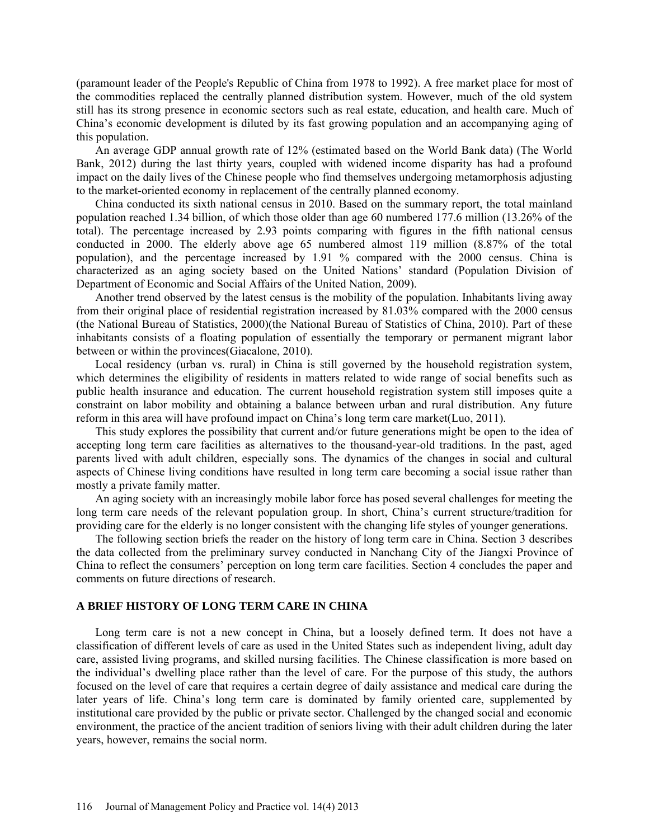(paramount leader of the People's Republic of China from 1978 to 1992). A free market place for most of the commodities replaced the centrally planned distribution system. However, much of the old system still has its strong presence in economic sectors such as real estate, education, and health care. Much of China's economic development is diluted by its fast growing population and an accompanying aging of this population.

An average GDP annual growth rate of 12% (estimated based on the World Bank data) (The World Bank, 2012) during the last thirty years, coupled with widened income disparity has had a profound impact on the daily lives of the Chinese people who find themselves undergoing metamorphosis adjusting to the market-oriented economy in replacement of the centrally planned economy.

China conducted its sixth national census in 2010. Based on the summary report, the total mainland population reached 1.34 billion, of which those older than age 60 numbered 177.6 million (13.26% of the total). The percentage increased by 2.93 points comparing with figures in the fifth national census conducted in 2000. The elderly above age 65 numbered almost 119 million (8.87% of the total population), and the percentage increased by 1.91 % compared with the 2000 census. China is characterized as an aging society based on the United Nations' standard (Population Division of Department of Economic and Social Affairs of the United Nation, 2009).

Another trend observed by the latest census is the mobility of the population. Inhabitants living away from their original place of residential registration increased by 81.03% compared with the 2000 census (the National Bureau of Statistics, 2000)(the National Bureau of Statistics of China, 2010). Part of these inhabitants consists of a floating population of essentially the temporary or permanent migrant labor between or within the provinces(Giacalone, 2010).

Local residency (urban vs. rural) in China is still governed by the household registration system, which determines the eligibility of residents in matters related to wide range of social benefits such as public health insurance and education. The current household registration system still imposes quite a constraint on labor mobility and obtaining a balance between urban and rural distribution. Any future reform in this area will have profound impact on China's long term care market(Luo, 2011).

This study explores the possibility that current and/or future generations might be open to the idea of accepting long term care facilities as alternatives to the thousand-year-old traditions. In the past, aged parents lived with adult children, especially sons. The dynamics of the changes in social and cultural aspects of Chinese living conditions have resulted in long term care becoming a social issue rather than mostly a private family matter.

An aging society with an increasingly mobile labor force has posed several challenges for meeting the long term care needs of the relevant population group. In short, China's current structure/tradition for providing care for the elderly is no longer consistent with the changing life styles of younger generations.

The following section briefs the reader on the history of long term care in China. Section 3 describes the data collected from the preliminary survey conducted in Nanchang City of the Jiangxi Province of China to reflect the consumers' perception on long term care facilities. Section 4 concludes the paper and comments on future directions of research.

## **A BRIEF HISTORY OF LONG TERM CARE IN CHINA**

Long term care is not a new concept in China, but a loosely defined term. It does not have a classification of different levels of care as used in the United States such as independent living, adult day care, assisted living programs, and skilled nursing facilities. The Chinese classification is more based on the individual's dwelling place rather than the level of care. For the purpose of this study, the authors focused on the level of care that requires a certain degree of daily assistance and medical care during the later years of life. China's long term care is dominated by family oriented care, supplemented by institutional care provided by the public or private sector. Challenged by the changed social and economic environment, the practice of the ancient tradition of seniors living with their adult children during the later years, however, remains the social norm.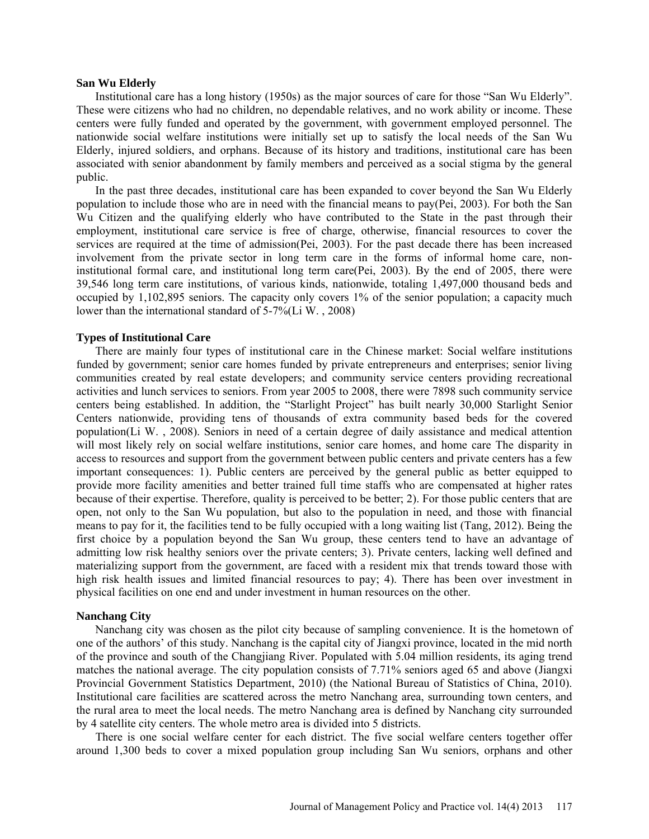#### **San Wu Elderly**

Institutional care has a long history (1950s) as the major sources of care for those "San Wu Elderly". These were citizens who had no children, no dependable relatives, and no work ability or income. These centers were fully funded and operated by the government, with government employed personnel. The nationwide social welfare institutions were initially set up to satisfy the local needs of the San Wu Elderly, injured soldiers, and orphans. Because of its history and traditions, institutional care has been associated with senior abandonment by family members and perceived as a social stigma by the general public.

In the past three decades, institutional care has been expanded to cover beyond the San Wu Elderly population to include those who are in need with the financial means to pay(Pei, 2003). For both the San Wu Citizen and the qualifying elderly who have contributed to the State in the past through their employment, institutional care service is free of charge, otherwise, financial resources to cover the services are required at the time of admission(Pei, 2003). For the past decade there has been increased involvement from the private sector in long term care in the forms of informal home care, noninstitutional formal care, and institutional long term care(Pei, 2003). By the end of 2005, there were 39,546 long term care institutions, of various kinds, nationwide, totaling 1,497,000 thousand beds and occupied by 1,102,895 seniors. The capacity only covers 1% of the senior population; a capacity much lower than the international standard of 5-7%(Li W. , 2008)

#### **Types of Institutional Care**

There are mainly four types of institutional care in the Chinese market: Social welfare institutions funded by government; senior care homes funded by private entrepreneurs and enterprises; senior living communities created by real estate developers; and community service centers providing recreational activities and lunch services to seniors. From year 2005 to 2008, there were 7898 such community service centers being established. In addition, the "Starlight Project" has built nearly 30,000 Starlight Senior Centers nationwide, providing tens of thousands of extra community based beds for the covered population(Li W. , 2008). Seniors in need of a certain degree of daily assistance and medical attention will most likely rely on social welfare institutions, senior care homes, and home care The disparity in access to resources and support from the government between public centers and private centers has a few important consequences: 1). Public centers are perceived by the general public as better equipped to provide more facility amenities and better trained full time staffs who are compensated at higher rates because of their expertise. Therefore, quality is perceived to be better; 2). For those public centers that are open, not only to the San Wu population, but also to the population in need, and those with financial means to pay for it, the facilities tend to be fully occupied with a long waiting list (Tang, 2012). Being the first choice by a population beyond the San Wu group, these centers tend to have an advantage of admitting low risk healthy seniors over the private centers; 3). Private centers, lacking well defined and materializing support from the government, are faced with a resident mix that trends toward those with high risk health issues and limited financial resources to pay; 4). There has been over investment in physical facilities on one end and under investment in human resources on the other.

#### **Nanchang City**

Nanchang city was chosen as the pilot city because of sampling convenience. It is the hometown of one of the authors' of this study. Nanchang is the capital city of Jiangxi province, located in the mid north of the province and south of the Changjiang River. Populated with 5.04 million residents, its aging trend matches the national average. The city population consists of 7.71% seniors aged 65 and above (Jiangxi Provincial Government Statistics Department, 2010) (the National Bureau of Statistics of China, 2010). Institutional care facilities are scattered across the metro Nanchang area, surrounding town centers, and the rural area to meet the local needs. The metro Nanchang area is defined by Nanchang city surrounded by 4 satellite city centers. The whole metro area is divided into 5 districts.

There is one social welfare center for each district. The five social welfare centers together offer around 1,300 beds to cover a mixed population group including San Wu seniors, orphans and other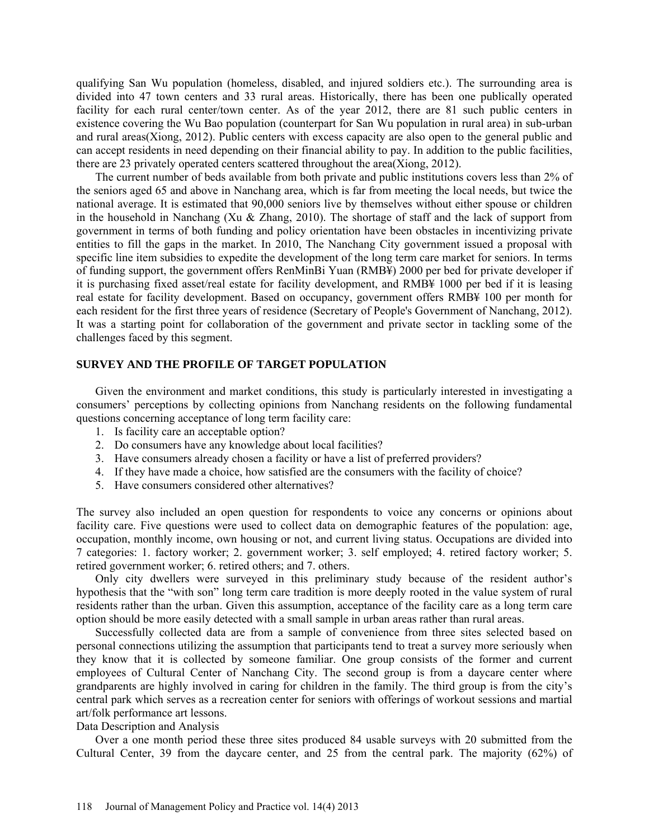qualifying San Wu population (homeless, disabled, and injured soldiers etc.). The surrounding area is divided into 47 town centers and 33 rural areas. Historically, there has been one publically operated facility for each rural center/town center. As of the year 2012, there are 81 such public centers in existence covering the Wu Bao population (counterpart for San Wu population in rural area) in sub-urban and rural areas(Xiong, 2012). Public centers with excess capacity are also open to the general public and can accept residents in need depending on their financial ability to pay. In addition to the public facilities, there are 23 privately operated centers scattered throughout the area(Xiong, 2012).

The current number of beds available from both private and public institutions covers less than 2% of the seniors aged 65 and above in Nanchang area, which is far from meeting the local needs, but twice the national average. It is estimated that 90,000 seniors live by themselves without either spouse or children in the household in Nanchang (Xu & Zhang, 2010). The shortage of staff and the lack of support from government in terms of both funding and policy orientation have been obstacles in incentivizing private entities to fill the gaps in the market. In 2010, The Nanchang City government issued a proposal with specific line item subsidies to expedite the development of the long term care market for seniors. In terms of funding support, the government offers RenMinBi Yuan (RMB¥) 2000 per bed for private developer if it is purchasing fixed asset/real estate for facility development, and RMB¥ 1000 per bed if it is leasing real estate for facility development. Based on occupancy, government offers RMB¥ 100 per month for each resident for the first three years of residence (Secretary of People's Government of Nanchang, 2012). It was a starting point for collaboration of the government and private sector in tackling some of the challenges faced by this segment.

#### **SURVEY AND THE PROFILE OF TARGET POPULATION**

Given the environment and market conditions, this study is particularly interested in investigating a consumers' perceptions by collecting opinions from Nanchang residents on the following fundamental questions concerning acceptance of long term facility care:

- 1. Is facility care an acceptable option?
- 2. Do consumers have any knowledge about local facilities?
- 3. Have consumers already chosen a facility or have a list of preferred providers?
- 4. If they have made a choice, how satisfied are the consumers with the facility of choice?
- 5. Have consumers considered other alternatives?

The survey also included an open question for respondents to voice any concerns or opinions about facility care. Five questions were used to collect data on demographic features of the population: age, occupation, monthly income, own housing or not, and current living status. Occupations are divided into 7 categories: 1. factory worker; 2. government worker; 3. self employed; 4. retired factory worker; 5. retired government worker; 6. retired others; and 7. others.

Only city dwellers were surveyed in this preliminary study because of the resident author's hypothesis that the "with son" long term care tradition is more deeply rooted in the value system of rural residents rather than the urban. Given this assumption, acceptance of the facility care as a long term care option should be more easily detected with a small sample in urban areas rather than rural areas.

Successfully collected data are from a sample of convenience from three sites selected based on personal connections utilizing the assumption that participants tend to treat a survey more seriously when they know that it is collected by someone familiar. One group consists of the former and current employees of Cultural Center of Nanchang City. The second group is from a daycare center where grandparents are highly involved in caring for children in the family. The third group is from the city's central park which serves as a recreation center for seniors with offerings of workout sessions and martial art/folk performance art lessons.

#### Data Description and Analysis

Over a one month period these three sites produced 84 usable surveys with 20 submitted from the Cultural Center, 39 from the daycare center, and 25 from the central park. The majority (62%) of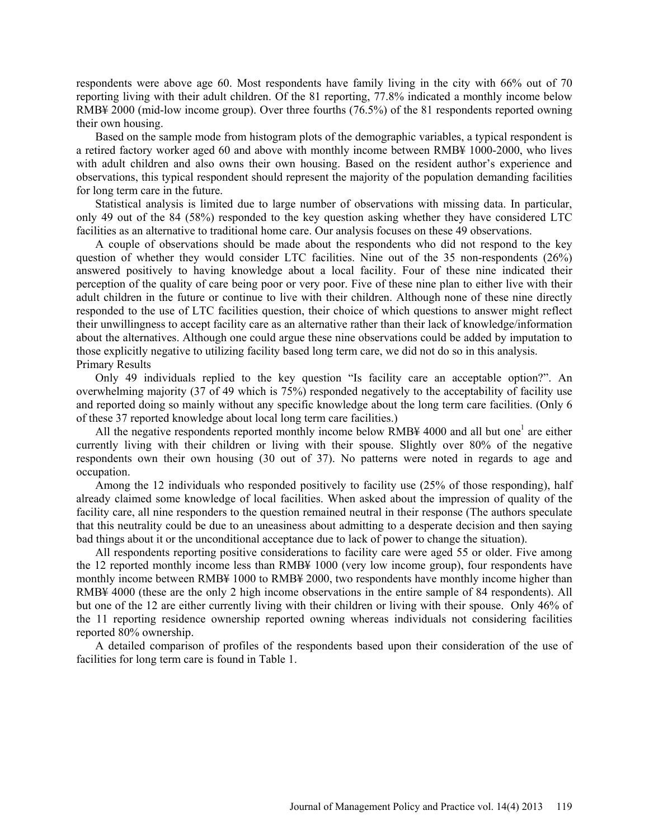respondents were above age 60. Most respondents have family living in the city with 66% out of 70 reporting living with their adult children. Of the 81 reporting, 77.8% indicated a monthly income below RMB¥ 2000 (mid-low income group). Over three fourths (76.5%) of the 81 respondents reported owning their own housing.

Based on the sample mode from histogram plots of the demographic variables, a typical respondent is a retired factory worker aged 60 and above with monthly income between RMB¥ 1000-2000, who lives with adult children and also owns their own housing. Based on the resident author's experience and observations, this typical respondent should represent the majority of the population demanding facilities for long term care in the future.

Statistical analysis is limited due to large number of observations with missing data. In particular, only 49 out of the 84 (58%) responded to the key question asking whether they have considered LTC facilities as an alternative to traditional home care. Our analysis focuses on these 49 observations.

A couple of observations should be made about the respondents who did not respond to the key question of whether they would consider LTC facilities. Nine out of the 35 non-respondents (26%) answered positively to having knowledge about a local facility. Four of these nine indicated their perception of the quality of care being poor or very poor. Five of these nine plan to either live with their adult children in the future or continue to live with their children. Although none of these nine directly responded to the use of LTC facilities question, their choice of which questions to answer might reflect their unwillingness to accept facility care as an alternative rather than their lack of knowledge/information about the alternatives. Although one could argue these nine observations could be added by imputation to those explicitly negative to utilizing facility based long term care, we did not do so in this analysis. Primary Results

Only 49 individuals replied to the key question "Is facility care an acceptable option?". An overwhelming majority (37 of 49 which is 75%) responded negatively to the acceptability of facility use and reported doing so mainly without any specific knowledge about the long term care facilities. (Only 6 of these 37 reported knowledge about local long term care facilities.)

All the negative respondents reported monthly income below RMB¥ 4000 and all but one<sup>1</sup> are either currently living with their children or living with their spouse. Slightly over 80% of the negative respondents own their own housing (30 out of 37). No patterns were noted in regards to age and occupation.

Among the 12 individuals who responded positively to facility use (25% of those responding), half already claimed some knowledge of local facilities. When asked about the impression of quality of the facility care, all nine responders to the question remained neutral in their response (The authors speculate that this neutrality could be due to an uneasiness about admitting to a desperate decision and then saying bad things about it or the unconditional acceptance due to lack of power to change the situation).

All respondents reporting positive considerations to facility care were aged 55 or older. Five among the 12 reported monthly income less than RMB¥ 1000 (very low income group), four respondents have monthly income between RMB¥ 1000 to RMB¥ 2000, two respondents have monthly income higher than RMB¥ 4000 (these are the only 2 high income observations in the entire sample of 84 respondents). All but one of the 12 are either currently living with their children or living with their spouse. Only 46% of the 11 reporting residence ownership reported owning whereas individuals not considering facilities reported 80% ownership.

A detailed comparison of profiles of the respondents based upon their consideration of the use of facilities for long term care is found in Table 1.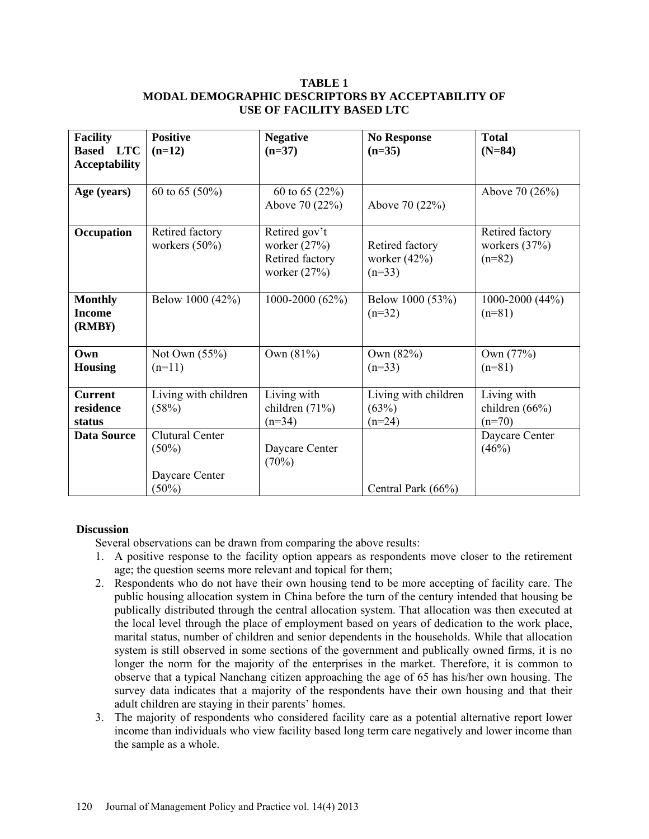## **TABLE 1 MODAL DEMOGRAPHIC DESCRIPTORS BY ACCEPTABILITY OF USE OF FACILITY BASED LTC**

| <b>Facility</b><br><b>Based LTC</b><br><b>Acceptability</b> | <b>Positive</b><br>$(n=12)$                                      | <b>Negative</b><br>$(n=37)$                                        | <b>No Response</b><br>$(n=35)$                 | <b>Total</b><br>$(N=84)$                       |
|-------------------------------------------------------------|------------------------------------------------------------------|--------------------------------------------------------------------|------------------------------------------------|------------------------------------------------|
| Age (years)                                                 | 60 to 65 (50%)                                                   | 60 to 65 $(22%)$<br>Above 70 (22%)                                 | Above 70 (22%)                                 | Above 70 (26%)                                 |
| Occupation                                                  | Retired factory<br>workers $(50\%)$                              | Retired gov't<br>worker (27%)<br>Retired factory<br>worker $(27%)$ | Retired factory<br>worker $(42\%)$<br>$(n=33)$ | Retired factory<br>workers $(37%)$<br>$(n=82)$ |
| <b>Monthly</b><br><b>Income</b><br>(RMB¥)                   | Below 1000 (42%)                                                 | $1000 - 2000(62%)$                                                 | Below 1000 (53%)<br>$(n=32)$                   | 1000-2000 $(44\%)$<br>$(n=81)$                 |
| Own<br><b>Housing</b>                                       | Not Own $(55%)$<br>$(n=11)$                                      | Own (81%)                                                          | Own (82%)<br>$(n=33)$                          | Own (77%)<br>$(n=81)$                          |
| <b>Current</b><br>residence<br>status                       | Living with children<br>(58%)                                    | Living with<br>children $(71%)$<br>$(n=34)$                        | Living with children<br>(63%)<br>$(n=24)$      | Living with<br>children (66%)<br>$(n=70)$      |
| <b>Data Source</b>                                          | <b>Clutural Center</b><br>$(50\%)$<br>Daycare Center<br>$(50\%)$ | Daycare Center<br>(70%)                                            | Central Park (66%)                             | Daycare Center<br>(46%)                        |

## **Discussion**

Several observations can be drawn from comparing the above results:

- 1. A positive response to the facility option appears as respondents move closer to the retirement age; the question seems more relevant and topical for them;
- 2. Respondents who do not have their own housing tend to be more accepting of facility care. The public housing allocation system in China before the turn of the century intended that housing be publically distributed through the central allocation system. That allocation was then executed at the local level through the place of employment based on years of dedication to the work place, marital status, number of children and senior dependents in the households. While that allocation system is still observed in some sections of the government and publically owned firms, it is no longer the norm for the majority of the enterprises in the market. Therefore, it is common to observe that a typical Nanchang citizen approaching the age of 65 has his/her own housing. The survey data indicates that a majority of the respondents have their own housing and that their adult children are staying in their parents' homes.
- 3. The majority of respondents who considered facility care as a potential alternative report lower income than individuals who view facility based long term care negatively and lower income than the sample as a whole.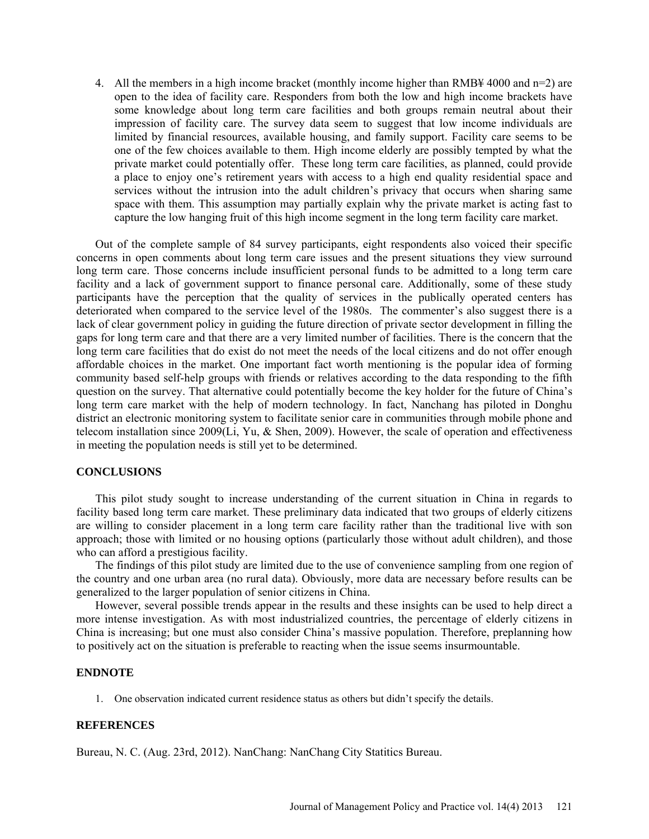4. All the members in a high income bracket (monthly income higher than RMB\parrol 4000 and n=2) are open to the idea of facility care. Responders from both the low and high income brackets have some knowledge about long term care facilities and both groups remain neutral about their impression of facility care. The survey data seem to suggest that low income individuals are limited by financial resources, available housing, and family support. Facility care seems to be one of the few choices available to them. High income elderly are possibly tempted by what the private market could potentially offer. These long term care facilities, as planned, could provide a place to enjoy one's retirement years with access to a high end quality residential space and services without the intrusion into the adult children's privacy that occurs when sharing same space with them. This assumption may partially explain why the private market is acting fast to capture the low hanging fruit of this high income segment in the long term facility care market.

Out of the complete sample of 84 survey participants, eight respondents also voiced their specific concerns in open comments about long term care issues and the present situations they view surround long term care. Those concerns include insufficient personal funds to be admitted to a long term care facility and a lack of government support to finance personal care. Additionally, some of these study participants have the perception that the quality of services in the publically operated centers has deteriorated when compared to the service level of the 1980s. The commenter's also suggest there is a lack of clear government policy in guiding the future direction of private sector development in filling the gaps for long term care and that there are a very limited number of facilities. There is the concern that the long term care facilities that do exist do not meet the needs of the local citizens and do not offer enough affordable choices in the market. One important fact worth mentioning is the popular idea of forming community based self-help groups with friends or relatives according to the data responding to the fifth question on the survey. That alternative could potentially become the key holder for the future of China's long term care market with the help of modern technology. In fact, Nanchang has piloted in Donghu district an electronic monitoring system to facilitate senior care in communities through mobile phone and telecom installation since 2009(Li, Yu, & Shen, 2009). However, the scale of operation and effectiveness in meeting the population needs is still yet to be determined.

#### **CONCLUSIONS**

This pilot study sought to increase understanding of the current situation in China in regards to facility based long term care market. These preliminary data indicated that two groups of elderly citizens are willing to consider placement in a long term care facility rather than the traditional live with son approach; those with limited or no housing options (particularly those without adult children), and those who can afford a prestigious facility.

The findings of this pilot study are limited due to the use of convenience sampling from one region of the country and one urban area (no rural data). Obviously, more data are necessary before results can be generalized to the larger population of senior citizens in China.

However, several possible trends appear in the results and these insights can be used to help direct a more intense investigation. As with most industrialized countries, the percentage of elderly citizens in China is increasing; but one must also consider China's massive population. Therefore, preplanning how to positively act on the situation is preferable to reacting when the issue seems insurmountable.

## **ENDNOTE**

1. One observation indicated current residence status as others but didn't specify the details.

#### **REFERENCES**

Bureau, N. C. (Aug. 23rd, 2012). NanChang: NanChang City Statitics Bureau.